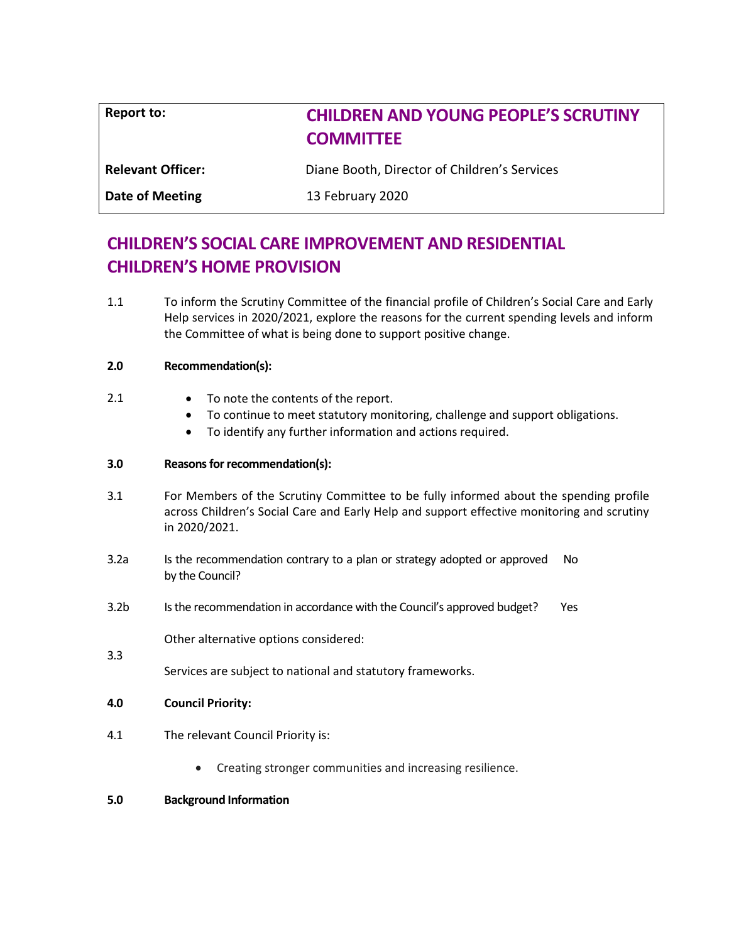| Report to:               | <b>CHILDREN AND YOUNG PEOPLE'S SCRUTINY</b><br><b>COMMITTEE</b> |
|--------------------------|-----------------------------------------------------------------|
| <b>Relevant Officer:</b> | Diane Booth, Director of Children's Services                    |
| Date of Meeting          | 13 February 2020                                                |

# **CHILDREN'S SOCIAL CARE IMPROVEMENT AND RESIDENTIAL CHILDREN'S HOME PROVISION**

1.1 To inform the Scrutiny Committee of the financial profile of Children's Social Care and Early Help services in 2020/2021, explore the reasons for the current spending levels and inform the Committee of what is being done to support positive change.

### **2.0 Recommendation(s):**

- 2.1 To note the contents of the report.
	- To continue to meet statutory monitoring, challenge and support obligations.
	- To identify any further information and actions required.

## **3.0 Reasons for recommendation(s):**

- 3.1 For Members of the Scrutiny Committee to be fully informed about the spending profile across Children's Social Care and Early Help and support effective monitoring and scrutiny in 2020/2021.
- 3.2a Is the recommendation contrary to a plan or strategy adopted or approved by the Council? No
- 3.2b Is the recommendation in accordance with the Council's approved budget? Yes

Other alternative options considered:

Services are subject to national and statutory frameworks.

## **4.0 Council Priority:**

3.3

- 4.1 The relevant Council Priority is:
	- Creating stronger communities and increasing resilience.

### **5.0 Background Information**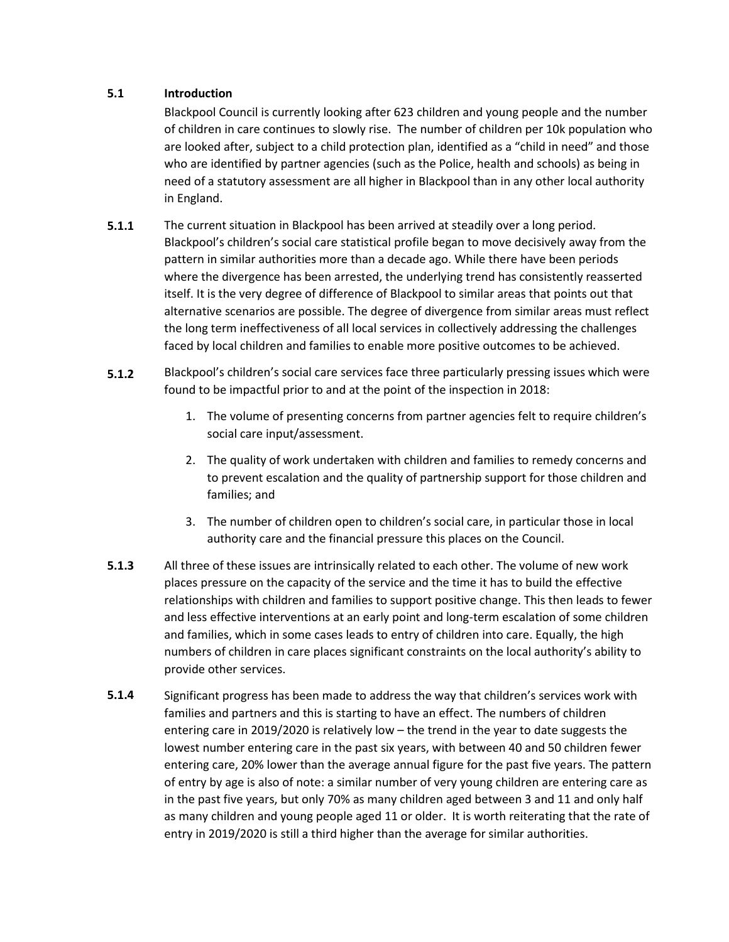### **5.1 Introduction**

Blackpool Council is currently looking after 623 children and young people and the number of children in care continues to slowly rise. The number of children per 10k population who are looked after, subject to a child protection plan, identified as a "child in need" and those who are identified by partner agencies (such as the Police, health and schools) as being in need of a statutory assessment are all higher in Blackpool than in any other local authority in England.

- **5.1.1** The current situation in Blackpool has been arrived at steadily over a long period. Blackpool's children's social care statistical profile began to move decisively away from the pattern in similar authorities more than a decade ago. While there have been periods where the divergence has been arrested, the underlying trend has consistently reasserted itself. It is the very degree of difference of Blackpool to similar areas that points out that alternative scenarios are possible. The degree of divergence from similar areas must reflect the long term ineffectiveness of all local services in collectively addressing the challenges faced by local children and families to enable more positive outcomes to be achieved.
- **5.1.2** Blackpool's children's social care services face three particularly pressing issues which were found to be impactful prior to and at the point of the inspection in 2018:
	- 1. The volume of presenting concerns from partner agencies felt to require children's social care input/assessment.
	- 2. The quality of work undertaken with children and families to remedy concerns and to prevent escalation and the quality of partnership support for those children and families; and
	- 3. The number of children open to children's social care, in particular those in local authority care and the financial pressure this places on the Council.
- **5.1.3** All three of these issues are intrinsically related to each other. The volume of new work places pressure on the capacity of the service and the time it has to build the effective relationships with children and families to support positive change. This then leads to fewer and less effective interventions at an early point and long-term escalation of some children and families, which in some cases leads to entry of children into care. Equally, the high numbers of children in care places significant constraints on the local authority's ability to provide other services.
- **5.1.4** Significant progress has been made to address the way that children's services work with families and partners and this is starting to have an effect. The numbers of children entering care in 2019/2020 is relatively low – the trend in the year to date suggests the lowest number entering care in the past six years, with between 40 and 50 children fewer entering care, 20% lower than the average annual figure for the past five years. The pattern of entry by age is also of note: a similar number of very young children are entering care as in the past five years, but only 70% as many children aged between 3 and 11 and only half as many children and young people aged 11 or older. It is worth reiterating that the rate of entry in 2019/2020 is still a third higher than the average for similar authorities.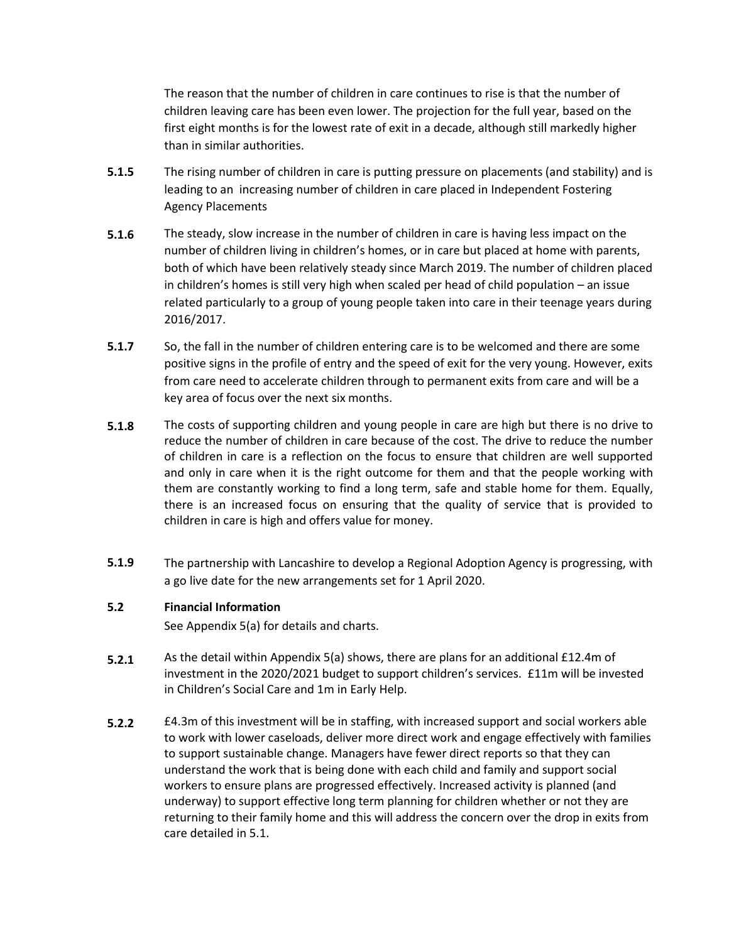The reason that the number of children in care continues to rise is that the number of children leaving care has been even lower. The projection for the full year, based on the first eight months is for the lowest rate of exit in a decade, although still markedly higher than in similar authorities.

- **5.1.5** The rising number of children in care is putting pressure on placements (and stability) and is leading to an increasing number of children in care placed in Independent Fostering Agency Placements
- **5.1.6** The steady, slow increase in the number of children in care is having less impact on the number of children living in children's homes, or in care but placed at home with parents, both of which have been relatively steady since March 2019. The number of children placed in children's homes is still very high when scaled per head of child population – an issue related particularly to a group of young people taken into care in their teenage years during 2016/2017.
- **5.1.7** So, the fall in the number of children entering care is to be welcomed and there are some positive signs in the profile of entry and the speed of exit for the very young. However, exits from care need to accelerate children through to permanent exits from care and will be a key area of focus over the next six months.
- **5.1.8** The costs of supporting children and young people in care are high but there is no drive to reduce the number of children in care because of the cost. The drive to reduce the number of children in care is a reflection on the focus to ensure that children are well supported and only in care when it is the right outcome for them and that the people working with them are constantly working to find a long term, safe and stable home for them. Equally, there is an increased focus on ensuring that the quality of service that is provided to children in care is high and offers value for money.
- **5.1.9** The partnership with Lancashire to develop a Regional Adoption Agency is progressing, with a go live date for the new arrangements set for 1 April 2020.

#### **5.2 Financial Information**

See Appendix 5(a) for details and charts.

- **5.2.1** As the detail within Appendix 5(a) shows, there are plans for an additional £12.4m of investment in the 2020/2021 budget to support children's services. £11m will be invested in Children's Social Care and 1m in Early Help.
- **5.2.2** £4.3m of this investment will be in staffing, with increased support and social workers able to work with lower caseloads, deliver more direct work and engage effectively with families to support sustainable change. Managers have fewer direct reports so that they can understand the work that is being done with each child and family and support social workers to ensure plans are progressed effectively. Increased activity is planned (and underway) to support effective long term planning for children whether or not they are returning to their family home and this will address the concern over the drop in exits from care detailed in 5.1.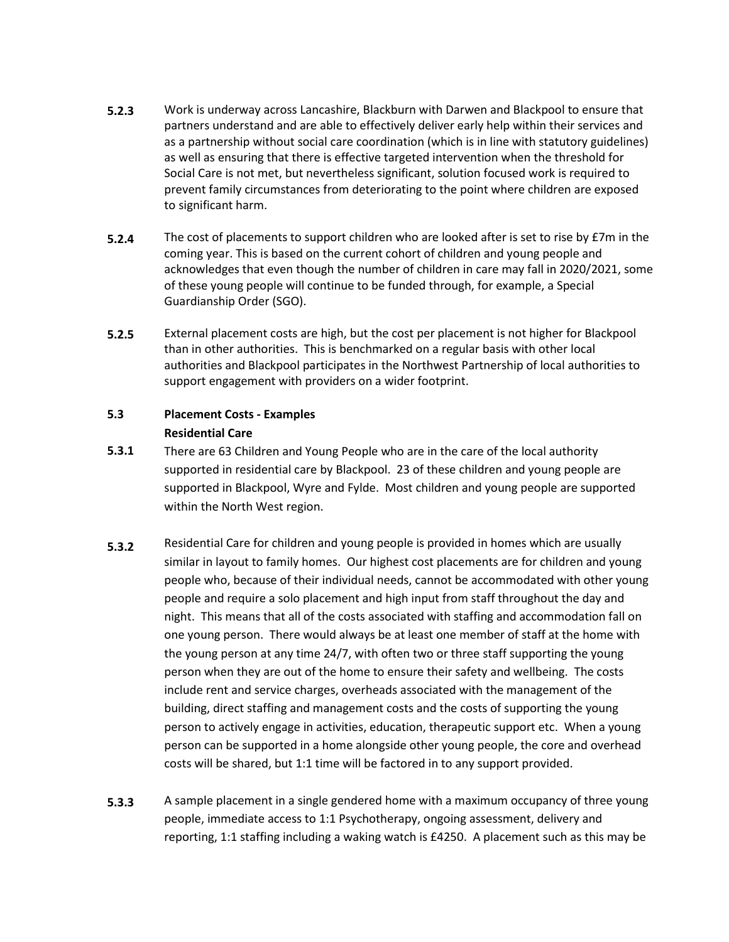- **5.2.3** Work is underway across Lancashire, Blackburn with Darwen and Blackpool to ensure that partners understand and are able to effectively deliver early help within their services and as a partnership without social care coordination (which is in line with statutory guidelines) as well as ensuring that there is effective targeted intervention when the threshold for Social Care is not met, but nevertheless significant, solution focused work is required to prevent family circumstances from deteriorating to the point where children are exposed to significant harm.
- **5.2.4** The cost of placements to support children who are looked after is set to rise by £7m in the coming year. This is based on the current cohort of children and young people and acknowledges that even though the number of children in care may fall in 2020/2021, some of these young people will continue to be funded through, for example, a Special Guardianship Order (SGO).
- **5.2.5** External placement costs are high, but the cost per placement is not higher for Blackpool than in other authorities. This is benchmarked on a regular basis with other local authorities and Blackpool participates in the Northwest Partnership of local authorities to support engagement with providers on a wider footprint.

### **5.3 Placement Costs - Examples Residential Care**

- **5.3.1** There are 63 Children and Young People who are in the care of the local authority supported in residential care by Blackpool. 23 of these children and young people are supported in Blackpool, Wyre and Fylde. Most children and young people are supported within the North West region.
- **5.3.2** Residential Care for children and young people is provided in homes which are usually similar in layout to family homes. Our highest cost placements are for children and young people who, because of their individual needs, cannot be accommodated with other young people and require a solo placement and high input from staff throughout the day and night. This means that all of the costs associated with staffing and accommodation fall on one young person. There would always be at least one member of staff at the home with the young person at any time 24/7, with often two or three staff supporting the young person when they are out of the home to ensure their safety and wellbeing. The costs include rent and service charges, overheads associated with the management of the building, direct staffing and management costs and the costs of supporting the young person to actively engage in activities, education, therapeutic support etc. When a young person can be supported in a home alongside other young people, the core and overhead costs will be shared, but 1:1 time will be factored in to any support provided.
- **5.3.3** A sample placement in a single gendered home with a maximum occupancy of three young people, immediate access to 1:1 Psychotherapy, ongoing assessment, delivery and reporting, 1:1 staffing including a waking watch is £4250. A placement such as this may be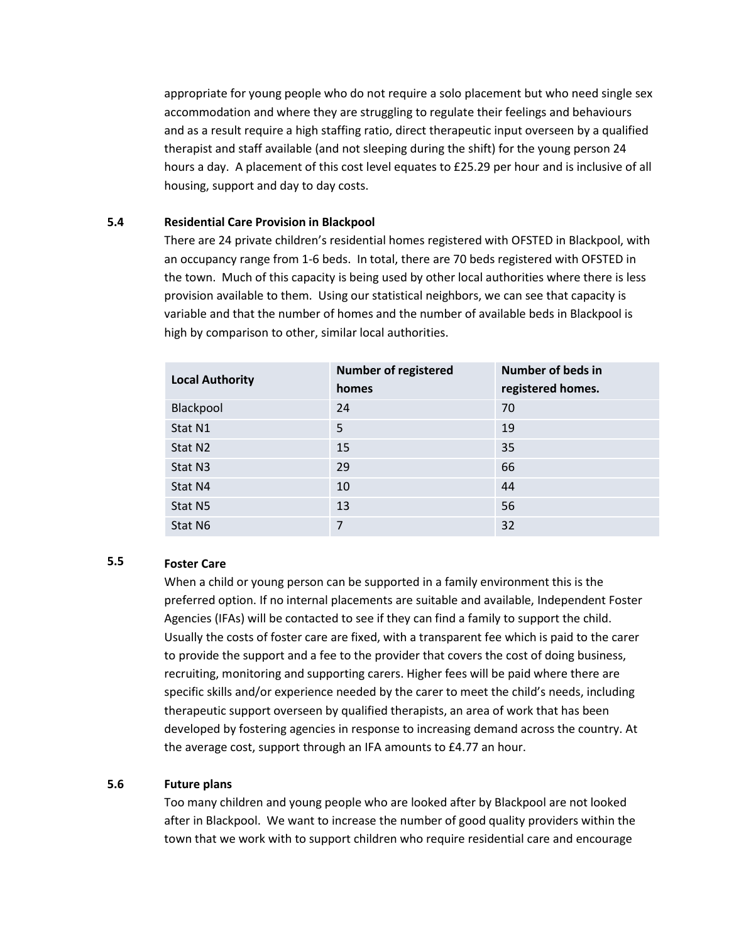appropriate for young people who do not require a solo placement but who need single sex accommodation and where they are struggling to regulate their feelings and behaviours and as a result require a high staffing ratio, direct therapeutic input overseen by a qualified therapist and staff available (and not sleeping during the shift) for the young person 24 hours a day. A placement of this cost level equates to £25.29 per hour and is inclusive of all housing, support and day to day costs.

### **5.4 Residential Care Provision in Blackpool**

There are 24 private children's residential homes registered with OFSTED in Blackpool, with an occupancy range from 1-6 beds. In total, there are 70 beds registered with OFSTED in the town. Much of this capacity is being used by other local authorities where there is less provision available to them. Using our statistical neighbors, we can see that capacity is variable and that the number of homes and the number of available beds in Blackpool is high by comparison to other, similar local authorities.

| <b>Local Authority</b> | <b>Number of registered</b><br>homes | Number of beds in<br>registered homes. |
|------------------------|--------------------------------------|----------------------------------------|
| Blackpool              | 24                                   | 70                                     |
| Stat N1                | 5                                    | 19                                     |
| Stat N2                | 15                                   | 35                                     |
| Stat N3                | 29                                   | 66                                     |
| Stat N4                | 10                                   | 44                                     |
| Stat N5                | 13                                   | 56                                     |
| Stat N6                | 7                                    | 32                                     |

# **5.5 Foster Care**

When a child or young person can be supported in a family environment this is the preferred option. If no internal placements are suitable and available, Independent Foster Agencies (IFAs) will be contacted to see if they can find a family to support the child. Usually the costs of foster care are fixed, with a transparent fee which is paid to the carer to provide the support and a fee to the provider that covers the cost of doing business, recruiting, monitoring and supporting carers. Higher fees will be paid where there are specific skills and/or experience needed by the carer to meet the child's needs, including therapeutic support overseen by qualified therapists, an area of work that has been developed by fostering agencies in response to increasing demand across the country. At the average cost, support through an IFA amounts to £4.77 an hour.

## **5.6 Future plans**

Too many children and young people who are looked after by Blackpool are not looked after in Blackpool. We want to increase the number of good quality providers within the town that we work with to support children who require residential care and encourage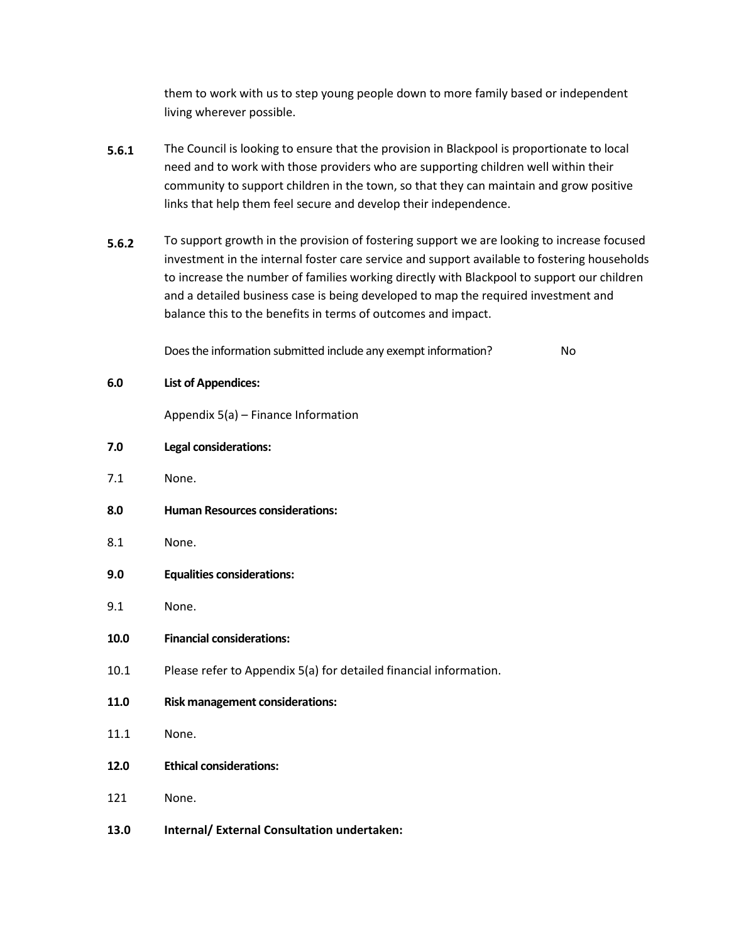them to work with us to step young people down to more family based or independent living wherever possible.

- **5.6.1** The Council is looking to ensure that the provision in Blackpool is proportionate to local need and to work with those providers who are supporting children well within their community to support children in the town, so that they can maintain and grow positive links that help them feel secure and develop their independence.
- **5.6.2** To support growth in the provision of fostering support we are looking to increase focused investment in the internal foster care service and support available to fostering households to increase the number of families working directly with Blackpool to support our children and a detailed business case is being developed to map the required investment and balance this to the benefits in terms of outcomes and impact.

Does the information submitted include any exempt information? No

### **6.0 List of Appendices:**

Appendix 5(a) – Finance Information

### **7.0 Legal considerations:**

- 7.1 None.
- **8.0 Human Resources considerations:**
- 8.1 None.
- **9.0 Equalities considerations:**
- 9.1 None.

### **10.0 Financial considerations:**

- 10.1 Please refer to Appendix 5(a) for detailed financial information.
- **11.0 Risk management considerations:**
- 11.1 None.
- **12.0 Ethical considerations:**
- 121 None.
- **13.0 Internal/ External Consultation undertaken:**